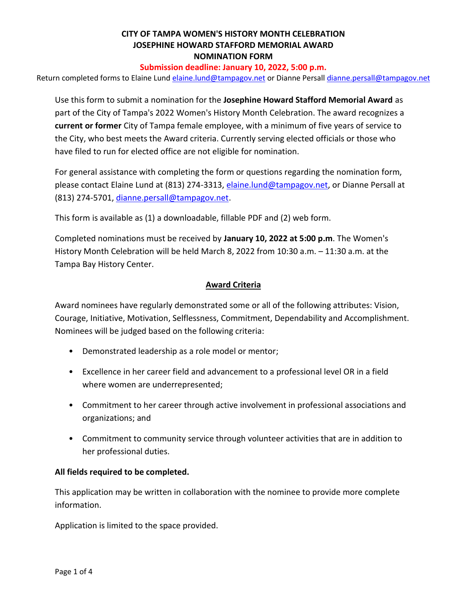### **Submission deadline: January 10, 2022, 5:00 p.m.**

Return completed forms to Elaine Lund [elaine.lund@tampagov.net](mailto:elaine.lund@tampagov.net) or Dianne Persal[l dianne.persall@tampagov.net](mailto:dianne.persall@tampagov.net)

Use this form to submit a nomination for the **Josephine Howard Stafford Memorial Award** as part of the City of Tampa's 2022 Women's History Month Celebration. The award recognizes a **current or former** City of Tampa female employee, with a minimum of five years of service to the City, who best meets the Award criteria. Currently serving elected officials or those who have filed to run for elected office are not eligible for nomination.

For general assistance with completing the form or questions regarding the nomination form, please contact Elaine Lund at (813) 274-3313, [elaine.lund@tampagov.net,](mailto:elaine.lund@tampagov.net) or Dianne Persall at (813) 274-5701, [dianne.persall@tampagov.net.](mailto:dianne.persall@tampagov.net)

This form is available as (1) a downloadable, fillable PDF and (2) web form.

Completed nominations must be received by **January 10, 2022 at 5:00 p.m**. The Women's History Month Celebration will be held March 8, 2022 from 10:30 a.m. – 11:30 a.m. at the Tampa Bay History Center.

### **Award Criteria**

Award nominees have regularly demonstrated some or all of the following attributes: Vision, Courage, Initiative, Motivation, Selflessness, Commitment, Dependability and Accomplishment. Nominees will be judged based on the following criteria:

- Demonstrated leadership as a role model or mentor;
- Excellence in her career field and advancement to a professional level OR in a field where women are underrepresented;
- Commitment to her career through active involvement in professional associations and organizations; and
- Commitment to community service through volunteer activities that are in addition to her professional duties.

## **All fields required to be completed.**

This application may be written in collaboration with the nominee to provide more complete information.

Application is limited to the space provided.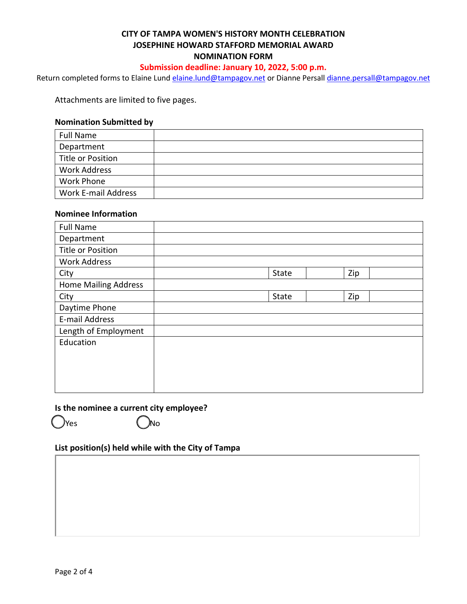### **Submission deadline: January 10, 2022, 5:00 p.m.**

Return completed forms to Elaine Lund [elaine.lund@tampagov.net](mailto:elaine.lund@tampagov.net) or Dianne Persal[l dianne.persall@tampagov.net](mailto:dianne.persall@tampagov.net)

Attachments are limited to five pages.

#### **Nomination Submitted by**

| <b>Full Name</b>    |  |
|---------------------|--|
| Department          |  |
| Title or Position   |  |
| <b>Work Address</b> |  |
| <b>Work Phone</b>   |  |
| Work E-mail Address |  |

#### **Nominee Information**

| <b>Full Name</b>            |       |     |
|-----------------------------|-------|-----|
| Department                  |       |     |
| <b>Title or Position</b>    |       |     |
| <b>Work Address</b>         |       |     |
| City                        | State | Zip |
| <b>Home Mailing Address</b> |       |     |
| City                        | State | Zip |
| Daytime Phone               |       |     |
| E-mail Address              |       |     |
| Length of Employment        |       |     |
| Education                   |       |     |
|                             |       |     |
|                             |       |     |
|                             |       |     |
|                             |       |     |

#### **Is the nominee a current city employee?**

Yes (*)*No

**List position(s) held while with the City of Tampa**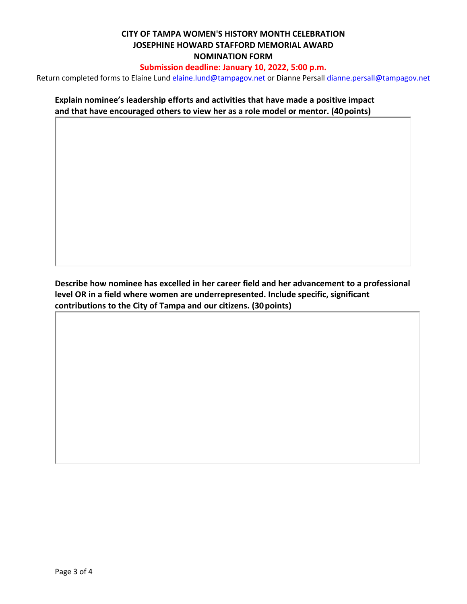## **Submission deadline: January 10, 2022, 5:00 p.m.**

Return completed forms to Elaine Lund [elaine.lund@tampagov.net](mailto:elaine.lund@tampagov.net) or Dianne Persal[l dianne.persall@tampagov.net](mailto:dianne.persall@tampagov.net)

**Explain nominee's leadership efforts and activities that have made a positive impact and that have encouraged others to view her as a role model or mentor. (40points)**

**Describe how nominee has excelled in her career field and her advancement to a professional level OR in a field where women are underrepresented. Include specific, significant contributions to the City of Tampa and our citizens. (30points)**